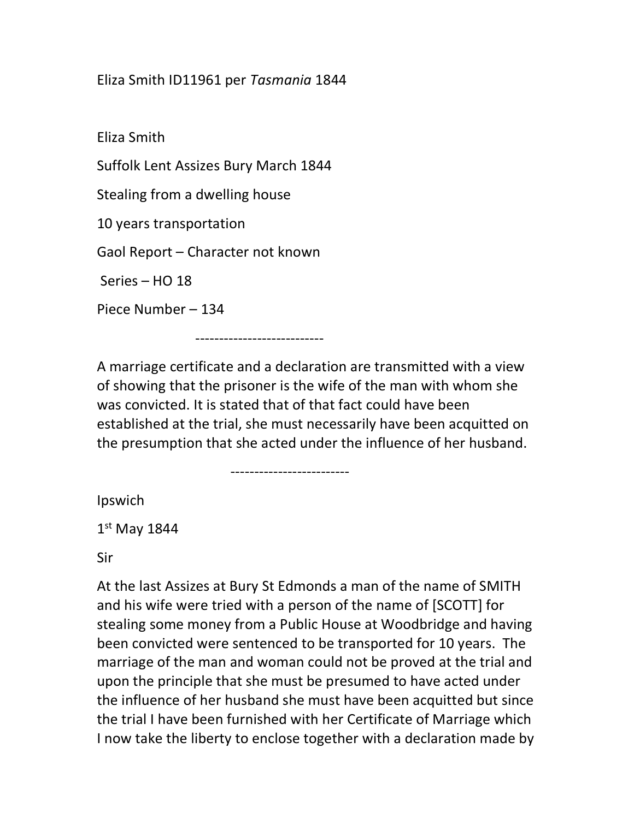## Eliza Smith ID11961 per Tasmania 1844

Eliza Smith Suffolk Lent Assizes Bury March 1844 Stealing from a dwelling house 10 years transportation Gaol Report – Character not known Series – HO 18 Piece Number – 134

---------------------------

-------------------------

A marriage certificate and a declaration are transmitted with a view of showing that the prisoner is the wife of the man with whom she was convicted. It is stated that of that fact could have been established at the trial, she must necessarily have been acquitted on the presumption that she acted under the influence of her husband.

Ipswich

 $1<sup>st</sup>$  May 1844

Sir

At the last Assizes at Bury St Edmonds a man of the name of SMITH and his wife were tried with a person of the name of [SCOTT] for stealing some money from a Public House at Woodbridge and having been convicted were sentenced to be transported for 10 years. The marriage of the man and woman could not be proved at the trial and upon the principle that she must be presumed to have acted under the influence of her husband she must have been acquitted but since the trial I have been furnished with her Certificate of Marriage which I now take the liberty to enclose together with a declaration made by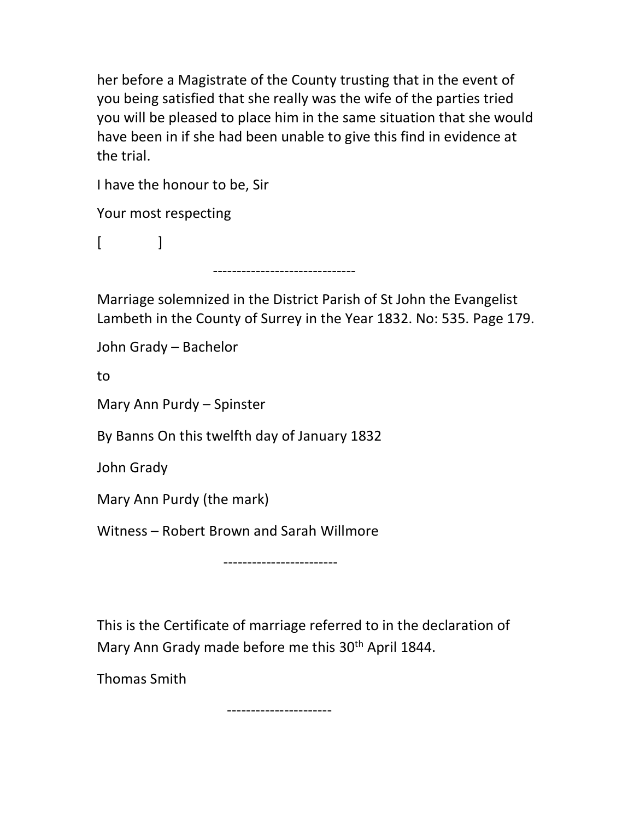her before a Magistrate of the County trusting that in the event of you being satisfied that she really was the wife of the parties tried you will be pleased to place him in the same situation that she would have been in if she had been unable to give this find in evidence at the trial.

I have the honour to be, Sir

Your most respecting

 $\begin{bmatrix} \end{bmatrix}$ 

------------------------------

Marriage solemnized in the District Parish of St John the Evangelist Lambeth in the County of Surrey in the Year 1832. No: 535. Page 179.

John Grady – Bachelor

to

Mary Ann Purdy – Spinster

By Banns On this twelfth day of January 1832

John Grady

Mary Ann Purdy (the mark)

Witness – Robert Brown and Sarah Willmore

------------------------

This is the Certificate of marriage referred to in the declaration of Mary Ann Grady made before me this 30<sup>th</sup> April 1844.

Thomas Smith

----------------------